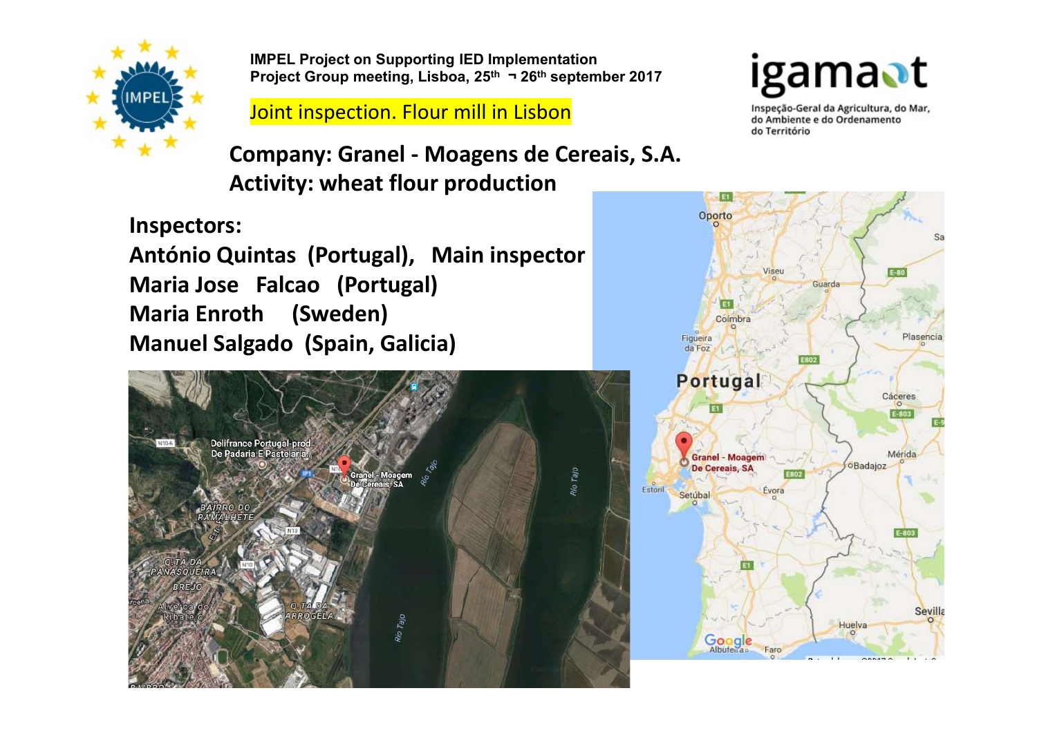

IMPEL Project on Supporting IED Implementation<br>Project Group meeting, Lisboa, 25<sup>th</sup> ¬ 26<sup>th</sup> september 2017 **| [Camal | 1** IMPEL Project on Supporting IED Implementation<br>Project Group meeting, Lisboa, 25<sup>th</sup> ¬ 26<sup>th</sup> september 2017<br>Joint inspection. Flour mill in Lisbon<br>Dimpany: Granel - Moagens de Cereais, S.A.

## **Joint inspection. Flour mill in Lisbon**<br>Joint inspection. Flour mill in Lisbon<br>do Território

IMPEL Project on Supporting IED Implementation<br>
Project Group meeting, Lisboa, 25<sup>th</sup> - 26<sup>th</sup> september 2017<br>
Joint inspection. Flour mill in Lisbon<br>
Company: Granel - Moagens de Cereais, S.A.<br>
Activity: wheat flour produ Activity: wheat flour production

Inspectors:

MACTURE INTERNATION INTERNATION INTERNATIONAL INTERNATIONAL INTERNATIONAL INTERNATIONAL INCOLUMENT COMPANY: Grantel - Moagens de Cereais, S.A.<br>
Activity: wheat flour production<br>
Inspectors:<br>
António Quintas (Portugal), Mai Maria Jose Falcao (Portugal) Maria Enroth (Sweden) Manuel Salgado (Spain, Galicia)



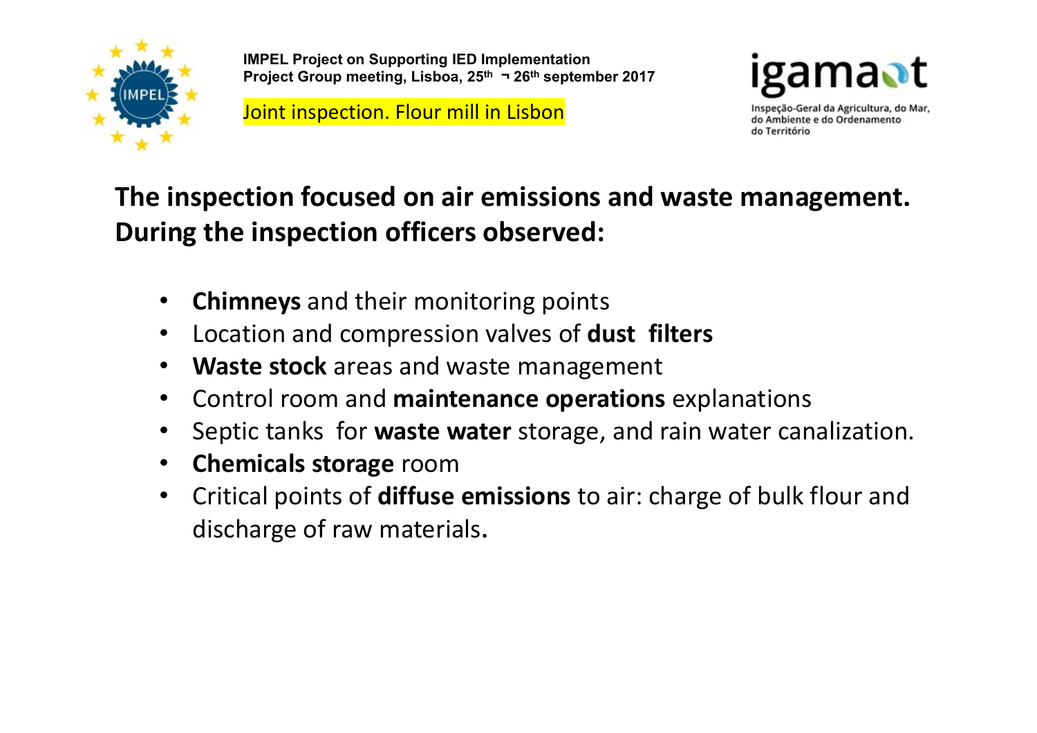

IMPEL Project on Supporting IED Implementation IMPEL Project on Supporting IED Implementation<br>Project Group meeting, Lisboa, 25<sup>th</sup> ¬ 26<sup>th</sup> september 2017<br>Joint inspection. Flour mill in Lisbon<br>do Ambiente e do Ordenamento<br>do Território

Joint inspection. Flour mill in Lisbon and the contract of the ampliente e do Ordenamento Mar,



## The inspection focused on air emissions and waste management. During the inspection officers observed:

- Chimneys and their monitoring points
- Location and compression valves of dust filters
- Waste stock areas and waste management
- Control room and maintenance operations explanations
- Septic tanks for waste water storage, and rain water canalization.
- Chemicals storage room
- Critical points of diffuse emissions to air: charge of bulk flour and discharge of raw materials.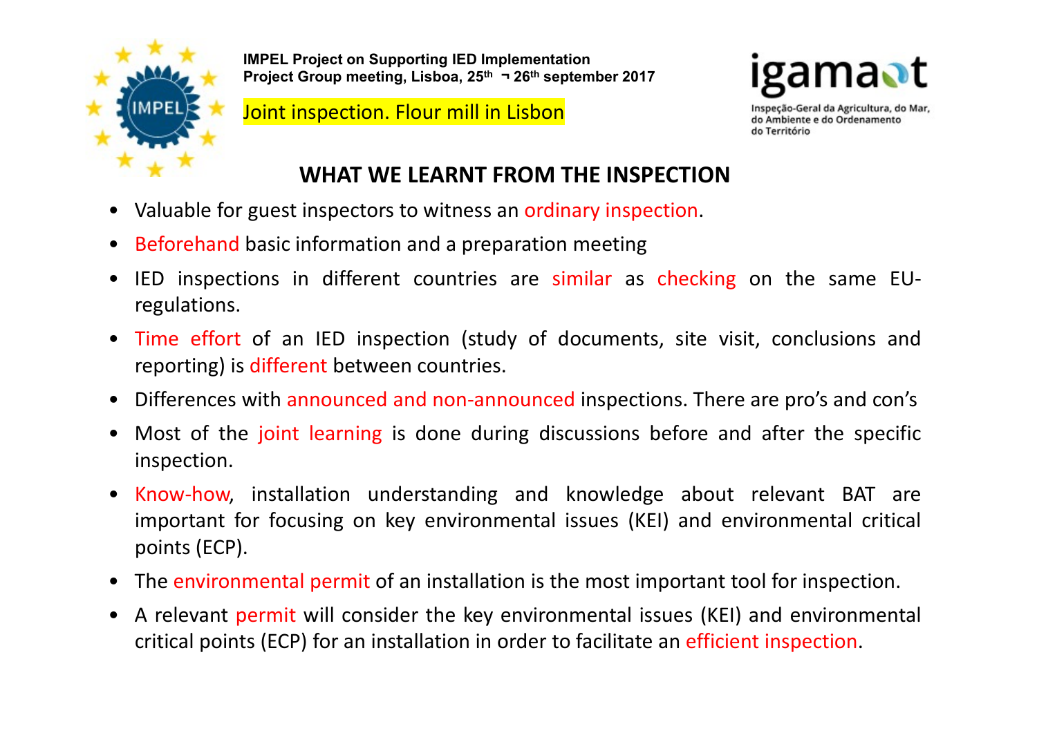

**IMPEL Project on Supporting IED Implementation**<br>Project Group meeting, Lisboa, 25<sup>th</sup> ¬ 26<sup>th</sup> september 2017 IMPEL Project on Supporting IED Implementation<br>Project Group meeting, Lisboa, 25<sup>th</sup> ¬ 26<sup>th</sup> september 2017<br>Joint inspection. Flour mill in Lisbon<br>do Ambiente e do Ordenamento<br>do Território

Joint inspection. Flour mill in Lisbon and the contract of the superside-Geral da Agricultura, do Mar,



## WHAT WE LEARNT FROM THE INSPECTION

- 
- 
- Valuable for guest inspection. Flour mill in Lisbon and<br>
 Valuable for guest inspection. Flour mill in Lisbon<br>
 Valuable for guest inspection and a preparation meeting<br>
 Beforehand basic information and a preparation • IMPEL Project on Supporting IED Implementation<br>
• Project Group meeting, Lisboa, 25<sup>th</sup> 3 26<sup>th</sup> september 2017<br>
• **Joint inspection. Flour mill in Lisbon**<br>
• WHAT WE LEARNT FROM THE INSPECTION<br>
• Valuable for guest ins regulations.
- Time effort of an IED inspection (study of documents, site visit, conclusions and<br>
Frequencies with an IED inspection. Flour mill in Lisbon<br>
 Valuable for guest inspection and a preparation meeting<br>
 IED inspections i **EXECUTE AND FIGURE COND MORTLED IS DONE CONDITION**<br> **EXECUTE AND INSTERNATION**<br> **EXECUTED AND INSPECTION**<br>
VIENT WE LEARNT FROM THE INSPECTION<br>
VIENT WE LEARNT FROM THE INSPECTION<br>
VIENT WE LEARNT FROM THE INSPECTION<br>
VI • Valuable for guest inspection. Flour mill in Lisbon<br>• Valuable for guest inspectors to witness an ordinary inspection.<br>• Beforehand basic information and a preparation meeting<br>• IED inspections in different countries are • Most of the joint learning is done during and knowledge about relevant BAT are<br>
inspection.<br>
• Beforehand basic information and a preparation meeting<br>
• IED inspections in different countries are similar as checking on t
- 
- inspection.
- Valuable for guest inspectors to witness an ordinary inspection.<br>
 Beforehand basic information and a preparation meeting<br>
 IED inspections in different countries are similar as checking on the same EU-<br>
 Time effort Beforehand basic information and a preparation meeting<br>IED inspections in different countries are similar as checking on the same EU-<br>regulations.<br>Time effort of an IED inspection (study of documents, site visit, conclusio Beforehand basic information and a preparation me<br>
IED inspections in different countries are simila<br>
regulations.<br>
Time effort of an IED inspection (study of docu<br>
reporting) is different between countries.<br>
Differences w • IED inspections in different countries are similar as checking on the same EU-<br>
• Time effort of an IED inspection (study of documents, site visit, conclusions and<br>
• Differences with announced and non-announced inspecti • Time effort of an IED inspection (study of documents, site visit, conclusions and reporting) is different between countries.<br>• Differences with announced and non-announced inspections. There are pro's and con's • Most of Time effort of an IED inspection (study of documents, site visit, conclusions and<br>reporting) is different between countries.<br>Differences with announced and non-announced inspections. There are pro's and con's<br>Most of the j
- 
-